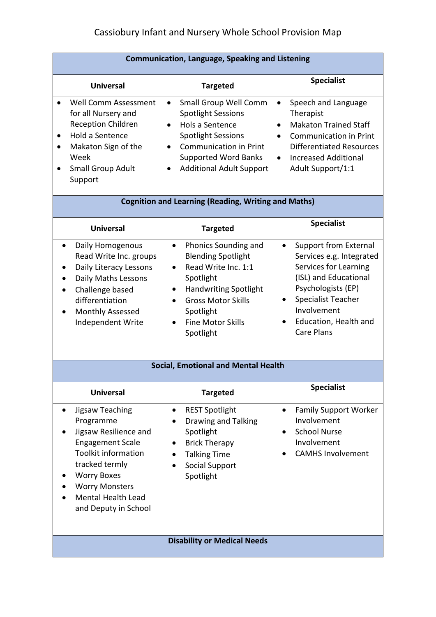| <b>Communication, Language, Speaking and Listening</b>                                                                                                                                                                                            |                                                                                                                                                                                                                                                              |                                                                                                                                                                                                                                              |  |
|---------------------------------------------------------------------------------------------------------------------------------------------------------------------------------------------------------------------------------------------------|--------------------------------------------------------------------------------------------------------------------------------------------------------------------------------------------------------------------------------------------------------------|----------------------------------------------------------------------------------------------------------------------------------------------------------------------------------------------------------------------------------------------|--|
| <b>Universal</b>                                                                                                                                                                                                                                  | <b>Targeted</b>                                                                                                                                                                                                                                              | <b>Specialist</b>                                                                                                                                                                                                                            |  |
| <b>Well Comm Assessment</b><br>for all Nursery and<br><b>Reception Children</b><br>Hold a Sentence<br>Makaton Sign of the<br>٠<br>Week<br>Small Group Adult<br>٠<br>Support                                                                       | Small Group Well Comm<br>$\bullet$<br><b>Spotlight Sessions</b><br>Hols a Sentence<br>$\bullet$<br><b>Spotlight Sessions</b><br><b>Communication in Print</b><br>$\bullet$<br><b>Supported Word Banks</b><br><b>Additional Adult Support</b><br>$\bullet$    | Speech and Language<br>$\bullet$<br>Therapist<br><b>Makaton Trained Staff</b><br>$\bullet$<br><b>Communication in Print</b><br>$\bullet$<br><b>Differentiated Resources</b><br><b>Increased Additional</b><br>$\bullet$<br>Adult Support/1:1 |  |
| <b>Cognition and Learning (Reading, Writing and Maths)</b>                                                                                                                                                                                        |                                                                                                                                                                                                                                                              |                                                                                                                                                                                                                                              |  |
| <b>Universal</b>                                                                                                                                                                                                                                  | <b>Targeted</b>                                                                                                                                                                                                                                              | <b>Specialist</b>                                                                                                                                                                                                                            |  |
| Daily Homogenous<br>Read Write Inc. groups<br>Daily Literacy Lessons<br>Daily Maths Lessons<br>$\bullet$<br>Challenge based<br>differentiation<br>Monthly Assessed<br>Independent Write                                                           | Phonics Sounding and<br>$\bullet$<br><b>Blending Spotlight</b><br>Read Write Inc. 1:1<br>Spotlight<br><b>Handwriting Spotlight</b><br>$\bullet$<br><b>Gross Motor Skills</b><br>$\bullet$<br>Spotlight<br><b>Fine Motor Skills</b><br>$\bullet$<br>Spotlight | <b>Support from External</b><br>$\bullet$<br>Services e.g. Integrated<br>Services for Learning<br>(ISL) and Educational<br>Psychologists (EP)<br><b>Specialist Teacher</b><br>٠<br>Involvement<br>Education, Health and<br>Care Plans        |  |
| <b>Social, Emotional and Mental Health</b>                                                                                                                                                                                                        |                                                                                                                                                                                                                                                              |                                                                                                                                                                                                                                              |  |
| <b>Universal</b>                                                                                                                                                                                                                                  | <b>Targeted</b>                                                                                                                                                                                                                                              | <b>Specialist</b>                                                                                                                                                                                                                            |  |
| Jigsaw Teaching<br>$\bullet$<br>Programme<br>Jigsaw Resilience and<br><b>Engagement Scale</b><br><b>Toolkit information</b><br>tracked termly<br><b>Worry Boxes</b><br><b>Worry Monsters</b><br><b>Mental Health Lead</b><br>and Deputy in School | <b>REST Spotlight</b><br>$\bullet$<br><b>Drawing and Talking</b><br>Spotlight<br><b>Brick Therapy</b><br>٠<br><b>Talking Time</b><br>Social Support<br>Spotlight                                                                                             | <b>Family Support Worker</b><br>$\bullet$<br>Involvement<br><b>School Nurse</b><br>Involvement<br><b>CAMHS Involvement</b>                                                                                                                   |  |
| <b>Disability or Medical Needs</b>                                                                                                                                                                                                                |                                                                                                                                                                                                                                                              |                                                                                                                                                                                                                                              |  |